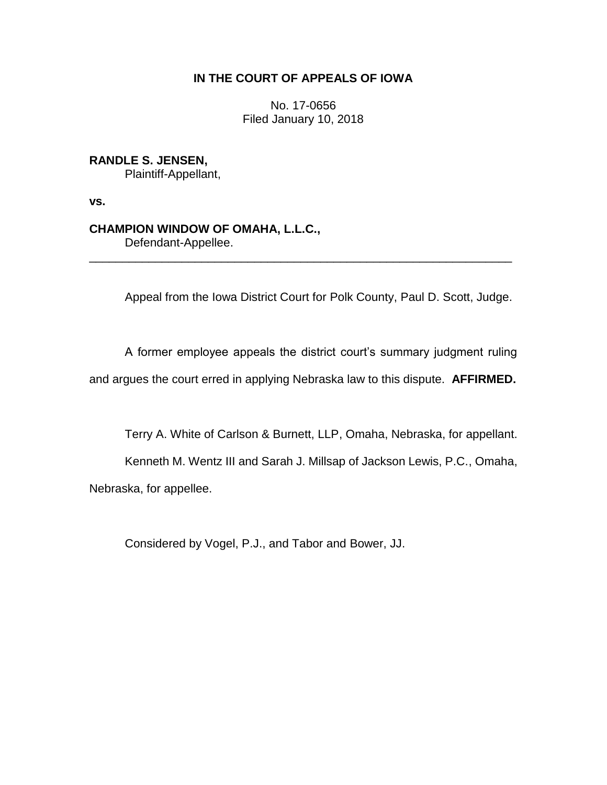# **IN THE COURT OF APPEALS OF IOWA**

No. 17-0656 Filed January 10, 2018

# **RANDLE S. JENSEN,**

Plaintiff-Appellant,

**vs.**

## **CHAMPION WINDOW OF OMAHA, L.L.C.,**

Defendant-Appellee.

Appeal from the Iowa District Court for Polk County, Paul D. Scott, Judge.

A former employee appeals the district court's summary judgment ruling and argues the court erred in applying Nebraska law to this dispute. **AFFIRMED.**

\_\_\_\_\_\_\_\_\_\_\_\_\_\_\_\_\_\_\_\_\_\_\_\_\_\_\_\_\_\_\_\_\_\_\_\_\_\_\_\_\_\_\_\_\_\_\_\_\_\_\_\_\_\_\_\_\_\_\_\_\_\_\_\_

Terry A. White of Carlson & Burnett, LLP, Omaha, Nebraska, for appellant.

Kenneth M. Wentz III and Sarah J. Millsap of Jackson Lewis, P.C., Omaha, Nebraska, for appellee.

Considered by Vogel, P.J., and Tabor and Bower, JJ.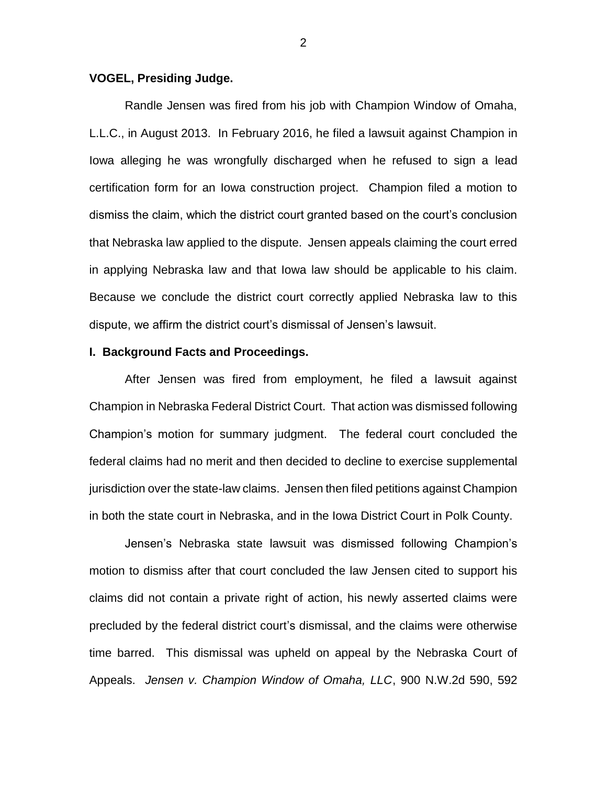### **VOGEL, Presiding Judge.**

Randle Jensen was fired from his job with Champion Window of Omaha, L.L.C., in August 2013. In February 2016, he filed a lawsuit against Champion in Iowa alleging he was wrongfully discharged when he refused to sign a lead certification form for an Iowa construction project. Champion filed a motion to dismiss the claim, which the district court granted based on the court's conclusion that Nebraska law applied to the dispute. Jensen appeals claiming the court erred in applying Nebraska law and that Iowa law should be applicable to his claim. Because we conclude the district court correctly applied Nebraska law to this dispute, we affirm the district court's dismissal of Jensen's lawsuit.

#### **I. Background Facts and Proceedings.**

After Jensen was fired from employment, he filed a lawsuit against Champion in Nebraska Federal District Court. That action was dismissed following Champion's motion for summary judgment. The federal court concluded the federal claims had no merit and then decided to decline to exercise supplemental jurisdiction over the state-law claims. Jensen then filed petitions against Champion in both the state court in Nebraska, and in the Iowa District Court in Polk County.

Jensen's Nebraska state lawsuit was dismissed following Champion's motion to dismiss after that court concluded the law Jensen cited to support his claims did not contain a private right of action, his newly asserted claims were precluded by the federal district court's dismissal, and the claims were otherwise time barred. This dismissal was upheld on appeal by the Nebraska Court of Appeals. *Jensen v. Champion Window of Omaha, LLC*, 900 N.W.2d 590, 592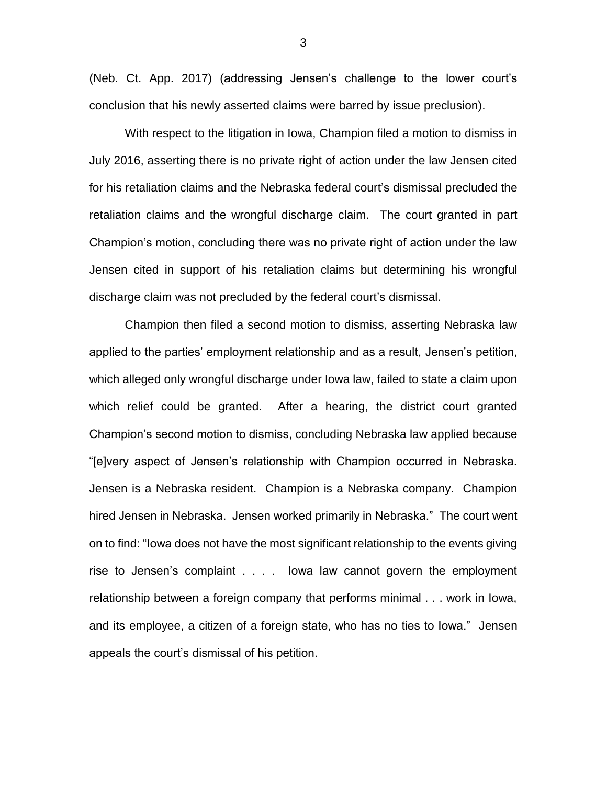(Neb. Ct. App. 2017) (addressing Jensen's challenge to the lower court's conclusion that his newly asserted claims were barred by issue preclusion).

With respect to the litigation in Iowa, Champion filed a motion to dismiss in July 2016, asserting there is no private right of action under the law Jensen cited for his retaliation claims and the Nebraska federal court's dismissal precluded the retaliation claims and the wrongful discharge claim. The court granted in part Champion's motion, concluding there was no private right of action under the law Jensen cited in support of his retaliation claims but determining his wrongful discharge claim was not precluded by the federal court's dismissal.

Champion then filed a second motion to dismiss, asserting Nebraska law applied to the parties' employment relationship and as a result, Jensen's petition, which alleged only wrongful discharge under Iowa law, failed to state a claim upon which relief could be granted. After a hearing, the district court granted Champion's second motion to dismiss, concluding Nebraska law applied because "[e]very aspect of Jensen's relationship with Champion occurred in Nebraska. Jensen is a Nebraska resident. Champion is a Nebraska company. Champion hired Jensen in Nebraska. Jensen worked primarily in Nebraska." The court went on to find: "Iowa does not have the most significant relationship to the events giving rise to Jensen's complaint . . . . Iowa law cannot govern the employment relationship between a foreign company that performs minimal . . . work in Iowa, and its employee, a citizen of a foreign state, who has no ties to Iowa." Jensen appeals the court's dismissal of his petition.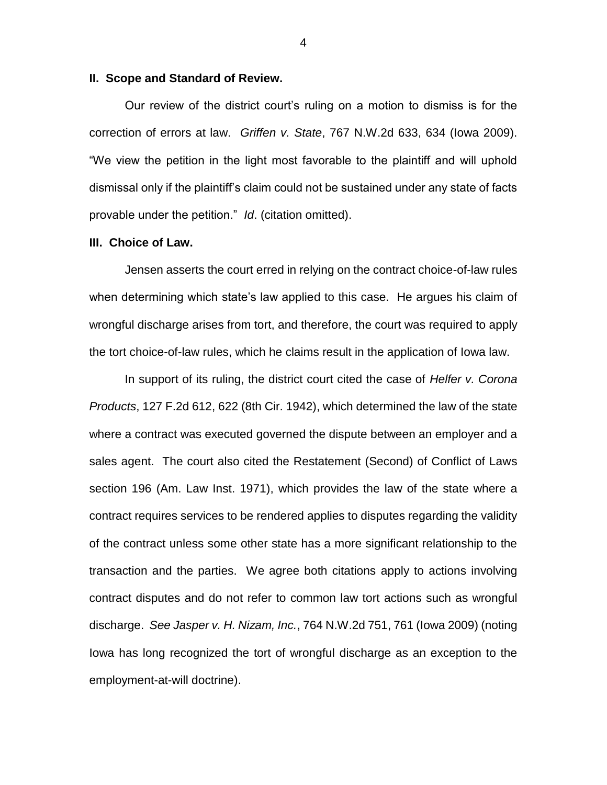#### **II. Scope and Standard of Review.**

Our review of the district court's ruling on a motion to dismiss is for the correction of errors at law. *Griffen v. State*, 767 N.W.2d 633, 634 (Iowa 2009). "We view the petition in the light most favorable to the plaintiff and will uphold dismissal only if the plaintiff's claim could not be sustained under any state of facts provable under the petition." *Id*. (citation omitted).

## **III. Choice of Law.**

Jensen asserts the court erred in relying on the contract choice-of-law rules when determining which state's law applied to this case. He argues his claim of wrongful discharge arises from tort, and therefore, the court was required to apply the tort choice-of-law rules, which he claims result in the application of Iowa law.

In support of its ruling, the district court cited the case of *Helfer v. Corona Products*, 127 F.2d 612, 622 (8th Cir. 1942), which determined the law of the state where a contract was executed governed the dispute between an employer and a sales agent. The court also cited the Restatement (Second) of Conflict of Laws section 196 (Am. Law Inst. 1971), which provides the law of the state where a contract requires services to be rendered applies to disputes regarding the validity of the contract unless some other state has a more significant relationship to the transaction and the parties. We agree both citations apply to actions involving contract disputes and do not refer to common law tort actions such as wrongful discharge. *See Jasper v. H. Nizam, Inc.*, 764 N.W.2d 751, 761 (Iowa 2009) (noting Iowa has long recognized the tort of wrongful discharge as an exception to the employment-at-will doctrine).

4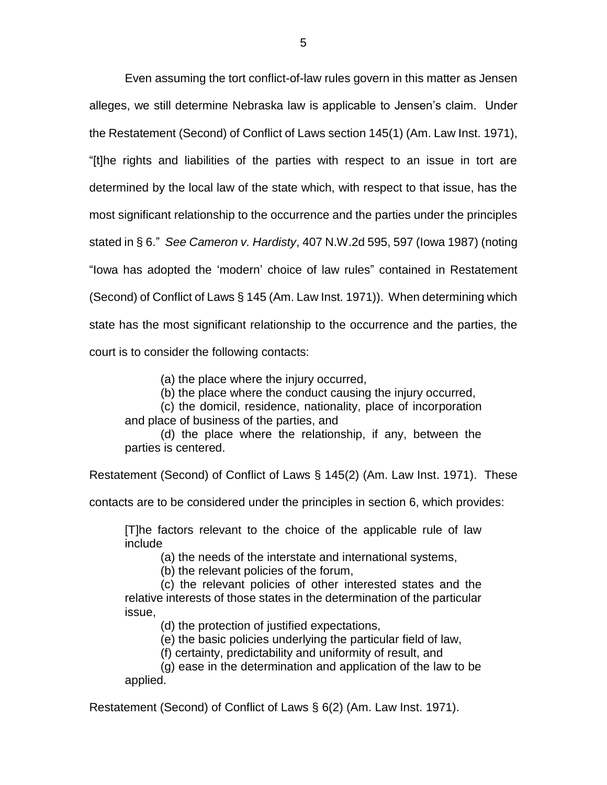Even assuming the tort conflict-of-law rules govern in this matter as Jensen alleges, we still determine Nebraska law is applicable to Jensen's claim. Under the Restatement (Second) of Conflict of Laws section 145(1) (Am. Law Inst. 1971), "[t]he rights and liabilities of the parties with respect to an issue in tort are determined by the local law of the state which, with respect to that issue, has the most significant relationship to the occurrence and the parties under the principles stated in § 6." *See Cameron v. Hardisty*, 407 N.W.2d 595, 597 (Iowa 1987) (noting "Iowa has adopted the 'modern' choice of law rules" contained in Restatement (Second) of Conflict of Laws § 145 (Am. Law Inst. 1971)). When determining which state has the most significant relationship to the occurrence and the parties, the court is to consider the following contacts:

(a) the place where the injury occurred,

(b) the place where the conduct causing the injury occurred,

(c) the domicil, residence, nationality, place of incorporation and place of business of the parties, and

(d) the place where the relationship, if any, between the parties is centered.

Restatement (Second) of Conflict of Laws § 145(2) (Am. Law Inst. 1971). These

contacts are to be considered under the principles in section 6, which provides:

[T]he factors relevant to the choice of the applicable rule of law include

(a) the needs of the interstate and international systems,

(b) the relevant policies of the forum,

(c) the relevant policies of other interested states and the relative interests of those states in the determination of the particular issue,

(d) the protection of justified expectations,

(e) the basic policies underlying the particular field of law,

(f) certainty, predictability and uniformity of result, and

(g) ease in the determination and application of the law to be applied.

Restatement (Second) of Conflict of Laws § 6(2) (Am. Law Inst. 1971).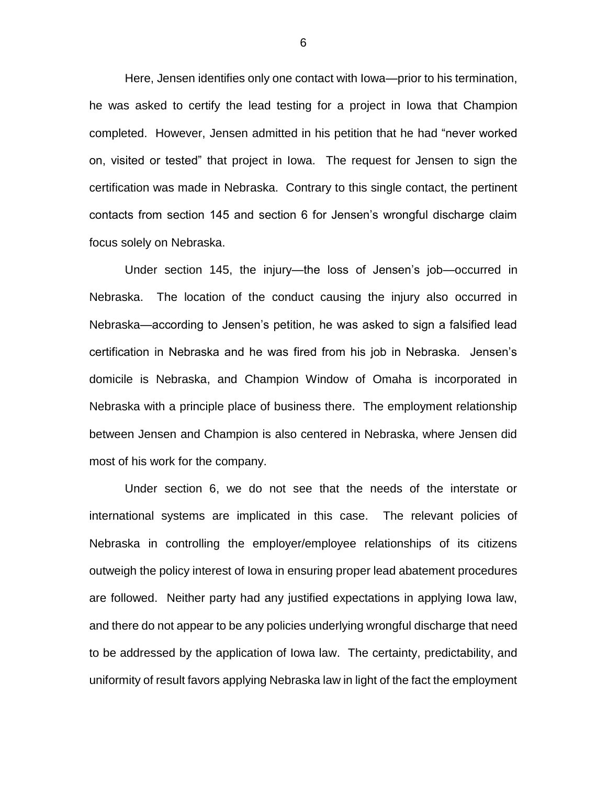Here, Jensen identifies only one contact with Iowa—prior to his termination, he was asked to certify the lead testing for a project in Iowa that Champion completed. However, Jensen admitted in his petition that he had "never worked on, visited or tested" that project in Iowa. The request for Jensen to sign the certification was made in Nebraska. Contrary to this single contact, the pertinent contacts from section 145 and section 6 for Jensen's wrongful discharge claim focus solely on Nebraska.

Under section 145, the injury—the loss of Jensen's job—occurred in Nebraska. The location of the conduct causing the injury also occurred in Nebraska—according to Jensen's petition, he was asked to sign a falsified lead certification in Nebraska and he was fired from his job in Nebraska. Jensen's domicile is Nebraska, and Champion Window of Omaha is incorporated in Nebraska with a principle place of business there. The employment relationship between Jensen and Champion is also centered in Nebraska, where Jensen did most of his work for the company.

Under section 6, we do not see that the needs of the interstate or international systems are implicated in this case. The relevant policies of Nebraska in controlling the employer/employee relationships of its citizens outweigh the policy interest of Iowa in ensuring proper lead abatement procedures are followed. Neither party had any justified expectations in applying Iowa law, and there do not appear to be any policies underlying wrongful discharge that need to be addressed by the application of Iowa law. The certainty, predictability, and uniformity of result favors applying Nebraska law in light of the fact the employment

6